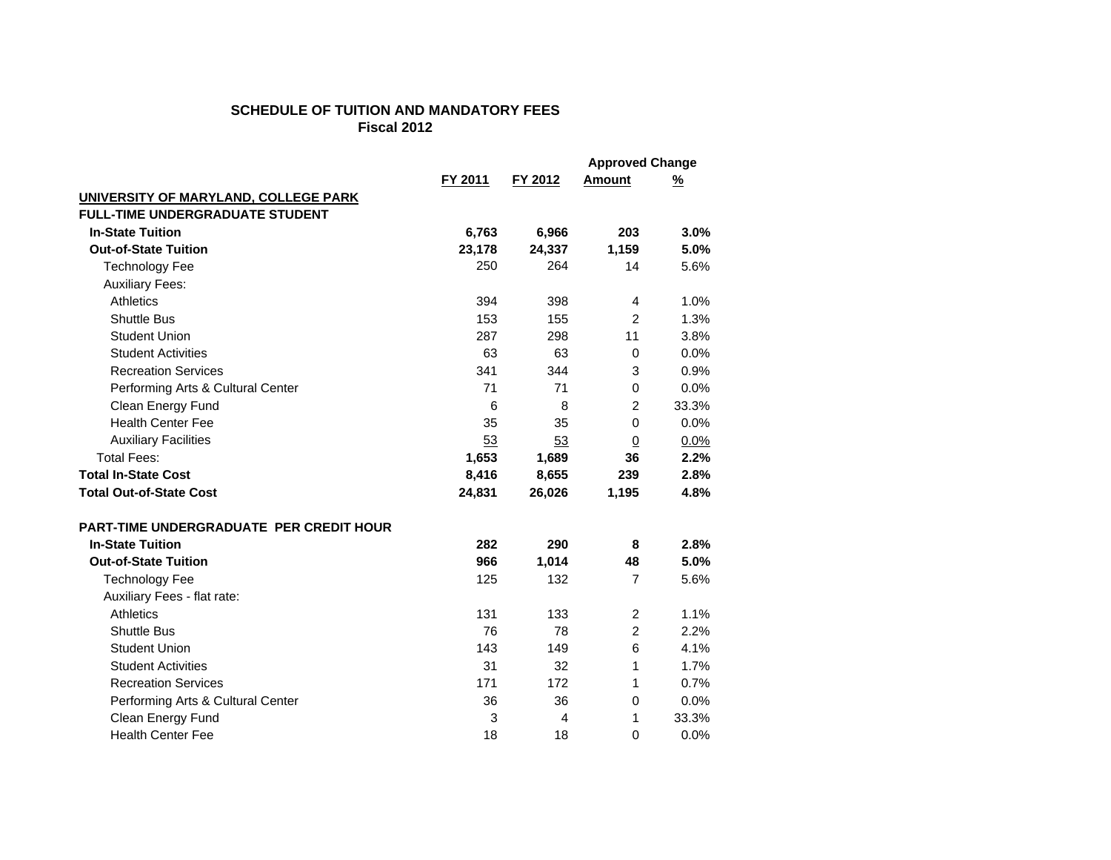## **SCHEDULE OF TUITION AND MANDATORY FEESFiscal 2012**

|                                                |         |         | <b>Approved Change</b> |          |
|------------------------------------------------|---------|---------|------------------------|----------|
|                                                | FY 2011 | FY 2012 | <b>Amount</b>          | <u>%</u> |
| UNIVERSITY OF MARYLAND, COLLEGE PARK           |         |         |                        |          |
| <b>FULL-TIME UNDERGRADUATE STUDENT</b>         |         |         |                        |          |
| <b>In-State Tuition</b>                        | 6,763   | 6,966   | 203                    | 3.0%     |
| <b>Out-of-State Tuition</b>                    | 23,178  | 24,337  | 1,159                  | 5.0%     |
| <b>Technology Fee</b>                          | 250     | 264     | 14                     | 5.6%     |
| <b>Auxiliary Fees:</b>                         |         |         |                        |          |
| Athletics                                      | 394     | 398     | 4                      | 1.0%     |
| <b>Shuttle Bus</b>                             | 153     | 155     | $\overline{c}$         | 1.3%     |
| <b>Student Union</b>                           | 287     | 298     | 11                     | 3.8%     |
| <b>Student Activities</b>                      | 63      | 63      | 0                      | 0.0%     |
| <b>Recreation Services</b>                     | 341     | 344     | 3                      | 0.9%     |
| Performing Arts & Cultural Center              | 71      | 71      | 0                      | 0.0%     |
| Clean Energy Fund                              | 6       | 8       | 2                      | 33.3%    |
| <b>Health Center Fee</b>                       | 35      | 35      | $\mathbf 0$            | 0.0%     |
| <b>Auxiliary Facilities</b>                    | 53      | 53      | $\overline{0}$         | 0.0%     |
| <b>Total Fees:</b>                             | 1,653   | 1,689   | 36                     | 2.2%     |
| <b>Total In-State Cost</b>                     | 8,416   | 8,655   | 239                    | 2.8%     |
| <b>Total Out-of-State Cost</b>                 | 24,831  | 26,026  | 1,195                  | 4.8%     |
| <b>PART-TIME UNDERGRADUATE PER CREDIT HOUR</b> |         |         |                        |          |
| <b>In-State Tuition</b>                        | 282     | 290     | 8                      | 2.8%     |
| <b>Out-of-State Tuition</b>                    | 966     | 1,014   | 48                     | 5.0%     |
| <b>Technology Fee</b>                          | 125     | 132     | $\overline{7}$         | 5.6%     |
| Auxiliary Fees - flat rate:                    |         |         |                        |          |
| Athletics                                      | 131     | 133     | $\overline{c}$         | 1.1%     |
| Shuttle Bus                                    | 76      | 78      | $\overline{2}$         | 2.2%     |
| <b>Student Union</b>                           | 143     | 149     | 6                      | 4.1%     |
| <b>Student Activities</b>                      | 31      | 32      | 1                      | 1.7%     |
| <b>Recreation Services</b>                     | 171     | 172     | 1                      | 0.7%     |
| Performing Arts & Cultural Center              | 36      | 36      | 0                      | 0.0%     |
| Clean Energy Fund                              | 3       | 4       | 1                      | 33.3%    |
| <b>Health Center Fee</b>                       | 18      | 18      | 0                      | 0.0%     |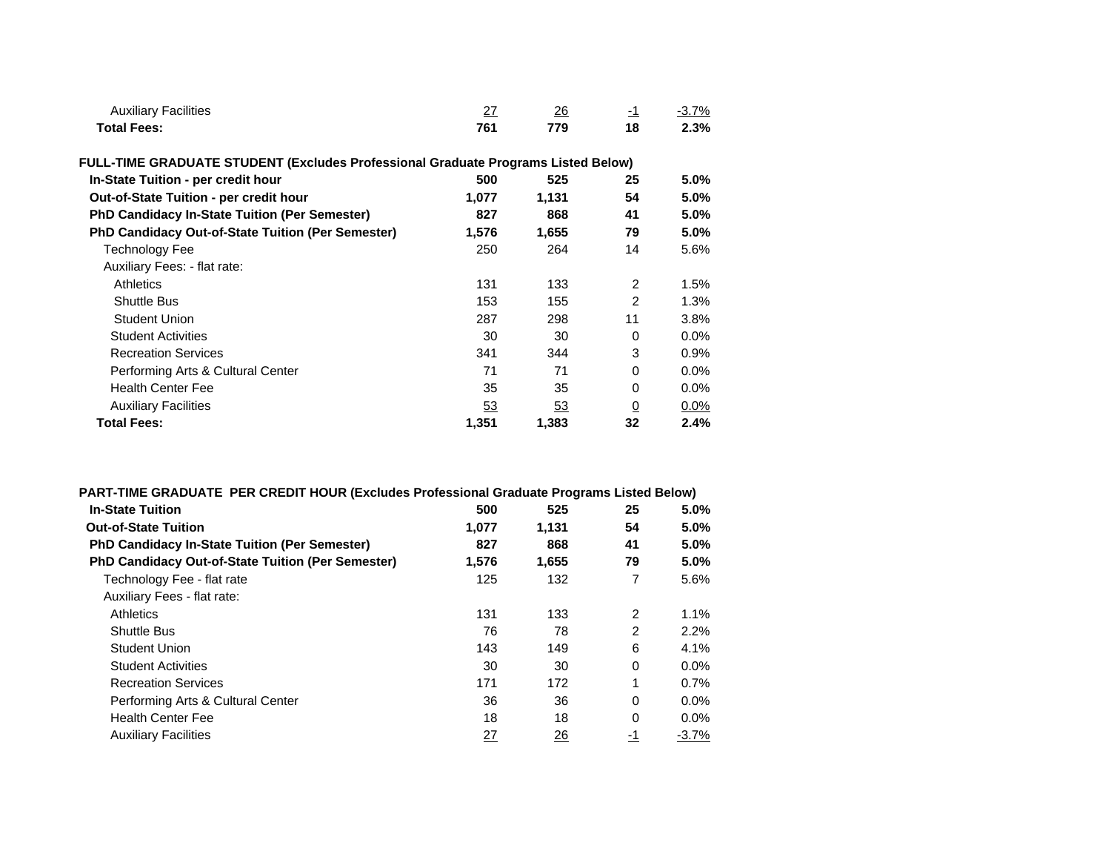| <b>Auxiliary Facilities</b>                                                       | 27        | 26        | $-1$           | $-3.7%$ |
|-----------------------------------------------------------------------------------|-----------|-----------|----------------|---------|
| <b>Total Fees:</b>                                                                | 761       | 779       | 18             | 2.3%    |
| FULL-TIME GRADUATE STUDENT (Excludes Professional Graduate Programs Listed Below) |           |           |                |         |
| In-State Tuition - per credit hour                                                | 500       | 525       | 25             | 5.0%    |
| Out-of-State Tuition - per credit hour                                            | 1,077     | 1,131     | 54             | 5.0%    |
| <b>PhD Candidacy In-State Tuition (Per Semester)</b>                              | 827       | 868       | 41             | 5.0%    |
| <b>PhD Candidacy Out-of-State Tuition (Per Semester)</b>                          | 1,576     | 1,655     | 79             | 5.0%    |
| Technology Fee                                                                    | 250       | 264       | 14             | 5.6%    |
| Auxiliary Fees: - flat rate:                                                      |           |           |                |         |
| Athletics                                                                         | 131       | 133       | 2              | 1.5%    |
| <b>Shuttle Bus</b>                                                                | 153       | 155       | $\overline{2}$ | 1.3%    |
| <b>Student Union</b>                                                              | 287       | 298       | 11             | 3.8%    |
| <b>Student Activities</b>                                                         | 30        | 30        | $\Omega$       | 0.0%    |
| <b>Recreation Services</b>                                                        | 341       | 344       | 3              | 0.9%    |
| Performing Arts & Cultural Center                                                 | 71        | 71        | $\Omega$       | 0.0%    |
| <b>Health Center Fee</b>                                                          | 35        | 35        | $\Omega$       | 0.0%    |
| <b>Auxiliary Facilities</b>                                                       | <u>53</u> | <u>53</u> | $\overline{0}$ | 0.0%    |
| <b>Total Fees:</b>                                                                | 1,351     | 1,383     | 32             | 2.4%    |

| PART-TIME GRADUATE PER CREDIT HOUR (Excludes Professional Graduate Programs Listed Below) |       |       |                |         |
|-------------------------------------------------------------------------------------------|-------|-------|----------------|---------|
| <b>In-State Tuition</b>                                                                   | 500   | 525   | 25             | 5.0%    |
| <b>Out-of-State Tuition</b>                                                               | 1,077 | 1,131 | 54             | 5.0%    |
| <b>PhD Candidacy In-State Tuition (Per Semester)</b>                                      | 827   | 868   | 41             | 5.0%    |
| <b>PhD Candidacy Out-of-State Tuition (Per Semester)</b>                                  | 1.576 | 1,655 | 79             | 5.0%    |
| Technology Fee - flat rate                                                                | 125   | 132   | 7              | 5.6%    |
| Auxiliary Fees - flat rate:                                                               |       |       |                |         |
| <b>Athletics</b>                                                                          | 131   | 133   | 2              | 1.1%    |
| <b>Shuttle Bus</b>                                                                        | 76    | 78    | $\overline{2}$ | 2.2%    |
| <b>Student Union</b>                                                                      | 143   | 149   | 6              | 4.1%    |
| <b>Student Activities</b>                                                                 | 30    | 30    | 0              | $0.0\%$ |
| <b>Recreation Services</b>                                                                | 171   | 172   | 1              | 0.7%    |
| Performing Arts & Cultural Center                                                         | 36    | 36    | $\Omega$       | 0.0%    |
| <b>Health Center Fee</b>                                                                  | 18    | 18    | $\Omega$       | 0.0%    |
| <b>Auxiliary Facilities</b>                                                               | 27    | 26    | -1             | $-3.7%$ |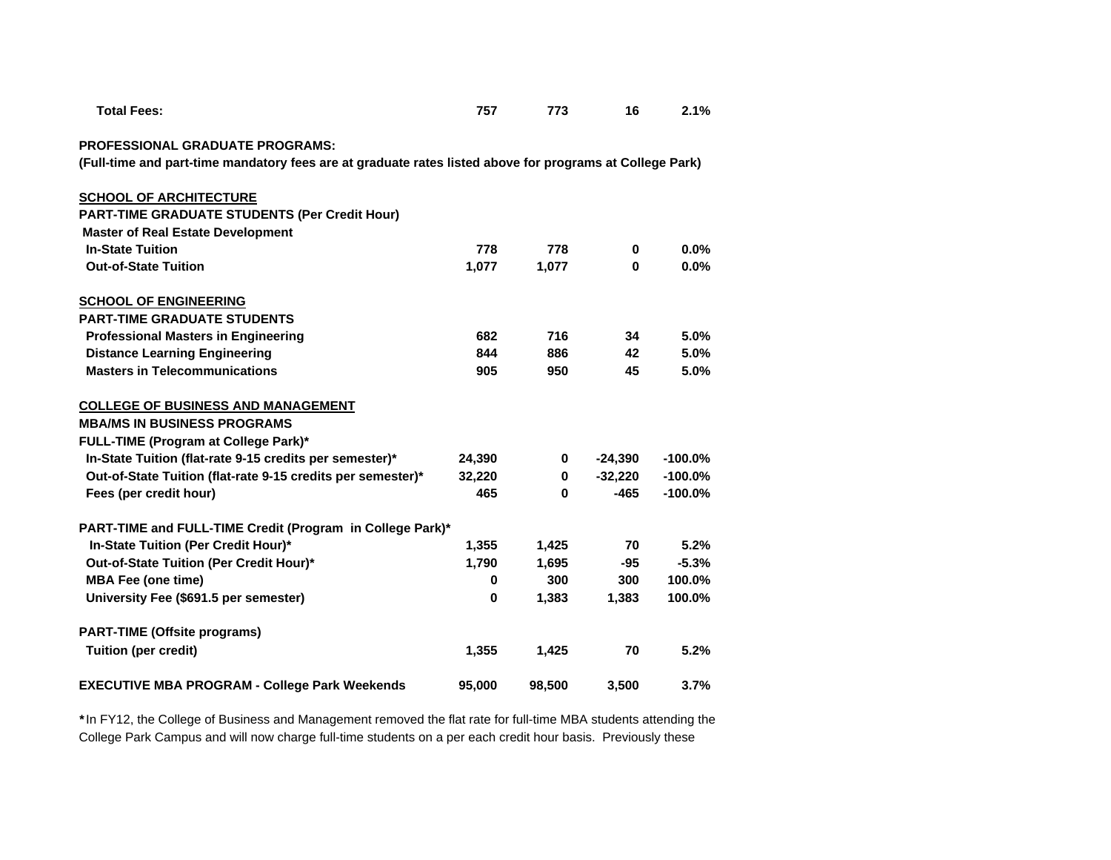| <b>PROFESSIONAL GRADUATE PROGRAMS:</b><br>(Full-time and part-time mandatory fees are at graduate rates listed above for programs at College Park) |          |        |           |            |
|----------------------------------------------------------------------------------------------------------------------------------------------------|----------|--------|-----------|------------|
|                                                                                                                                                    |          |        |           |            |
| <b>SCHOOL OF ARCHITECTURE</b>                                                                                                                      |          |        |           |            |
| <b>PART-TIME GRADUATE STUDENTS (Per Credit Hour)</b>                                                                                               |          |        |           |            |
| <b>Master of Real Estate Development</b>                                                                                                           |          |        |           |            |
| <b>In-State Tuition</b>                                                                                                                            | 778      | 778    | 0         | 0.0%       |
| <b>Out-of-State Tuition</b>                                                                                                                        | 1.077    | 1,077  | $\bf{0}$  | 0.0%       |
| <b>SCHOOL OF ENGINEERING</b>                                                                                                                       |          |        |           |            |
| <b>PART-TIME GRADUATE STUDENTS</b>                                                                                                                 |          |        |           |            |
| <b>Professional Masters in Engineering</b>                                                                                                         | 682      | 716    | 34        | 5.0%       |
| <b>Distance Learning Engineering</b>                                                                                                               | 844      | 886    | 42        | 5.0%       |
| <b>Masters in Telecommunications</b>                                                                                                               | 905      | 950    | 45        | 5.0%       |
| <b>COLLEGE OF BUSINESS AND MANAGEMENT</b>                                                                                                          |          |        |           |            |
| <b>MBA/MS IN BUSINESS PROGRAMS</b>                                                                                                                 |          |        |           |            |
| FULL-TIME (Program at College Park)*                                                                                                               |          |        |           |            |
| In-State Tuition (flat-rate 9-15 credits per semester)*                                                                                            | 24,390   | 0      | $-24,390$ | $-100.0\%$ |
| Out-of-State Tuition (flat-rate 9-15 credits per semester)*                                                                                        | 32,220   | 0      | $-32,220$ | $-100.0%$  |
| Fees (per credit hour)                                                                                                                             | 465      | 0      | $-465$    | $-100.0%$  |
| PART-TIME and FULL-TIME Credit (Program in College Park)*                                                                                          |          |        |           |            |
| In-State Tuition (Per Credit Hour)*                                                                                                                | 1,355    | 1,425  | 70        | 5.2%       |
| Out-of-State Tuition (Per Credit Hour)*                                                                                                            | 1,790    | 1,695  | $-95$     | $-5.3%$    |
| <b>MBA Fee (one time)</b>                                                                                                                          | $\bf{0}$ | 300    | 300       | 100.0%     |
| University Fee (\$691.5 per semester)                                                                                                              | $\bf{0}$ | 1,383  | 1,383     | 100.0%     |
| <b>PART-TIME (Offsite programs)</b>                                                                                                                |          |        |           |            |
| <b>Tuition (per credit)</b>                                                                                                                        | 1,355    | 1,425  | 70        | 5.2%       |
| <b>EXECUTIVE MBA PROGRAM - College Park Weekends</b>                                                                                               | 95,000   | 98,500 | 3,500     | 3.7%       |

 **Total Fees: 757 773 16 2.1%**

*\**In FY12, the College of Business and Management removed the flat rate for full-time MBA students attending the College Park Campus and will now charge full-time students on a per each credit hour basis. Previously these